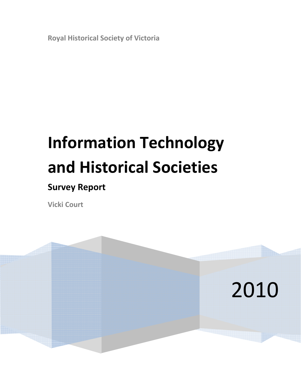**Royal Historical Society of Victoria**

# **Information Technology and Historical Societies**

# **Survey Report**

**Vicki Court**

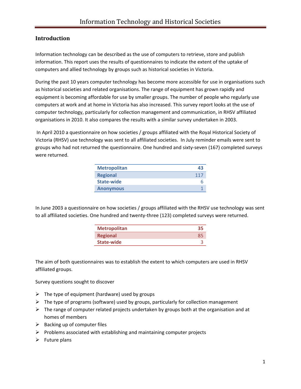# **Introduction**

Information technology can be described as the use of computers to retrieve, store and publish information. This report uses the results of questionnaires to indicate the extent of the uptake of computers and allied technology by groups such as historical societies in Victoria.

During the past 10 years computer technology has become more accessible for use in organisations such as historical societies and related organisations. The range of equipment has grown rapidly and equipment is becoming affordable for use by smaller groups. The number of people who regularly use computers at work and at home in Victoria has also increased. This survey report looks at the use of computer technology, particularly for collection management and communication, in RHSV affiliated organisations in 2010. It also compares the results with a similar survey undertaken in 2003.

In April 2010 a questionnaire on how societies / groups affiliated with the Royal Historical Society of Victoria (RHSV) use technology was sent to all affiliated societies. In July reminder emails were sent to groups who had not returned the questionnaire. One hundred and sixty-seven (167) completed surveys were returned.

| <b>Metropolitan</b> | 43  |
|---------------------|-----|
| <b>Regional</b>     | 117 |
| <b>State-wide</b>   |     |
| <b>Anonymous</b>    |     |

In June 2003 a questionnaire on how societies / groups affiliated with the RHSV use technology was sent to all affiliated societies. One hundred and twenty‐three (123) completed surveys were returned.

| <b>Metropolitan</b> | -35 |
|---------------------|-----|
| <b>Regional</b>     |     |
| State-wide          |     |

The aim of both questionnaires was to establish the extent to which computers are used in RHSV affiliated groups.

Survey questions sought to discover

- $\triangleright$  The type of equipment (hardware) used by groups
- $\triangleright$  The type of programs (software) used by groups, particularly for collection management
- $\triangleright$  The range of computer related projects undertaken by groups both at the organisation and at homes of members
- $\triangleright$  Backing up of computer files
- $\triangleright$  Problems associated with establishing and maintaining computer projects
- $\triangleright$  Future plans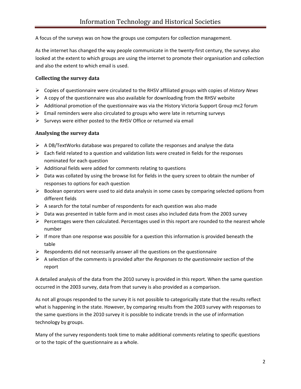A focus of the surveys was on how the groups use computers for collection management.

As the internet has changed the way people communicate in the twenty-first century, the surveys also looked at the extent to which groups are using the internet to promote their organisation and collection and also the extent to which email is used.

#### **Collecting the survey data**

- ¾ Copies of questionnaire were circulated to the RHSV affiliated groups with copies of *History News*
- $\triangleright$  A copy of the questionnaire was also available for downloading from the RHSV website
- $\triangleright$  Additional promotion of the questionnaire was via the History Victoria Support Group mc2 forum
- $\triangleright$  Email reminders were also circulated to groups who were late in returning surveys
- $\triangleright$  Surveys were either posted to the RHSV Office or returned via email

#### **Analysing the survey data**

- $\triangleright$  A DB/TextWorks database was prepared to collate the responses and analyse the data
- $\triangleright$  Each field related to a question and validation lists were created in fields for the responses nominated for each question
- $\triangleright$  Additional fields were added for comments relating to questions
- ¾ Data was collated by using the browse list for fields in the query screen to obtain the number of responses to options for each question
- $\triangleright$  Boolean operators were used to aid data analysis in some cases by comparing selected options from different fields
- $\triangleright$  A search for the total number of respondents for each question was also made
- $\triangleright$  Data was presented in table form and in most cases also included data from the 2003 survey
- $\triangleright$  Percentages were then calculated. Percentages used in this report are rounded to the nearest whole number
- $\triangleright$  If more than one response was possible for a question this information is provided beneath the table
- $\triangleright$  Respondents did not necessarily answer all the questions on the questionnaire
- ¾ A selection of the comments is provided after the *Responses to the questionnaire* section of the report

A detailed analysis of the data from the 2010 survey is provided in this report. When the same question occurred in the 2003 survey, data from that survey is also provided as a comparison.

As not all groups responded to the survey it is not possible to categorically state that the results reflect what is happening in the state. However, by comparing results from the 2003 survey with responses to the same questions in the 2010 survey it is possible to indicate trends in the use of information technology by groups.

Many of the survey respondents took time to make additional comments relating to specific questions or to the topic of the questionnaire as a whole.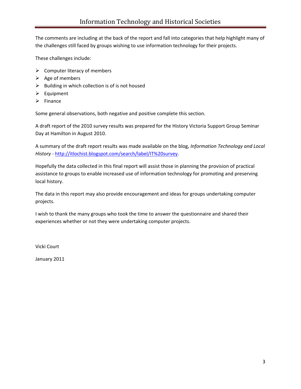The comments are including at the back of the report and fall into categories that help highlight many of the challenges still faced by groups wishing to use information technology for their projects.

These challenges include:

- $\triangleright$  Computer literacy of members
- $\triangleright$  Age of members
- $\triangleright$  Building in which collection is of is not housed
- $\triangleright$  Equipment
- $\triangleright$  Finance

Some general observations, both negative and positive complete this section.

A draft report of the 2010 survey results was prepared for the History Victoria Support Group Seminar Day at Hamilton in August 2010.

A summary of the draft report results was made available on the blog, *Information Technology and Local History* ‐ [http://itlochist.blogspot.com/search/label/IT%20survey.](http://itlochist.blogspot.com/search/label/IT%20survey)

Hopefully the data collected in this final report will assist those in planning the provision of practical assistance to groups to enable increased use of information technology for promoting and preserving local history.

The data in this report may also provide encouragement and ideas for groups undertaking computer projects.

I wish to thank the many groups who took the time to answer the questionnaire and shared their experiences whether or not they were undertaking computer projects.

Vicki Court

January 2011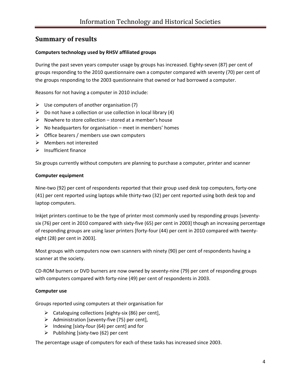# **Summary of results**

#### **Computers technology used by RHSV affiliated groups**

During the past seven years computer usage by groups has increased. Eighty-seven (87) per cent of groups responding to the 2010 questionnaire own a computer compared with seventy (70) per cent of the groups responding to the 2003 questionnaire that owned or had borrowed a computer.

Reasons for not having a computer in 2010 include:

- $\triangleright$  Use computers of another organisation (7)
- $\triangleright$  Do not have a collection or use collection in local library (4)
- $\triangleright$  Nowhere to store collection stored at a member's house
- $\triangleright$  No headquarters for organisation meet in members' homes
- $\triangleright$  Office bearers / members use own computers
- ¾ Members not interested
- $\triangleright$  Insufficient finance

Six groups currently without computers are planning to purchase a computer, printer and scanner

#### **Computer equipment**

Nine-two (92) per cent of respondents reported that their group used desk top computers, forty-one (41) per cent reported using laptops while thirty‐two (32) per cent reported using both desk top and laptop computers.

Inkjet printers continue to be the type of printer most commonly used by responding groups [seventy‐ six (76) per cent in 2010 compared with sixty-five (65) per cent in 2003] though an increasing percentage of responding groups are using laser printers [forty-four (44) per cent in 2010 compared with twentyeight (28) per cent in 2003].

Most groups with computers now own scanners with ninety (90) per cent of respondents having a scanner at the society.

CD‐ROM burners or DVD burners are now owned by seventy‐nine (79) per cent of responding groups with computers compared with forty-nine (49) per cent of respondents in 2003.

#### **Computer use**

Groups reported using computers at their organisation for

- ¾ Cataloguing collections [eighty‐six (86) per cent],
- $\triangleright$  Administration [seventy-five (75) per cent],
- $\triangleright$  Indexing [sixty-four (64) per cent] and for
- ¾ Publishing [sixty‐two (62) per cent

The percentage usage of computers for each of these tasks has increased since 2003.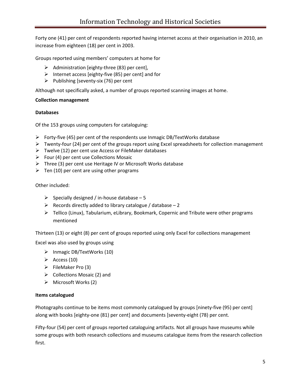Forty one (41) per cent of respondents reported having internet access at their organisation in 2010, an increase from eighteen (18) per cent in 2003.

Groups reported using members' computers at home for

- $\triangleright$  Administration [eighty-three (83) per cent],
- ¾ Internet access [eighty‐five (85) per cent] and for
- ¾ Publishing [seventy‐six (76) per cent

Although not specifically asked, a number of groups reported scanning images at home.

#### **Collection management**

#### **Databases**

Of the 153 groups using computers for cataloguing:

- ¾ Forty‐five (45) per cent of the respondents use Inmagic DB/TextWorks database
- ¾ Twenty‐four (24) per cent of the groups report using Excel spreadsheets for collection management
- $\triangleright$  Twelve (12) per cent use Access or FileMaker databases
- $\triangleright$  Four (4) per cent use Collections Mosaic
- $\triangleright$  Three (3) per cent use Heritage IV or Microsoft Works database
- $\triangleright$  Ten (10) per cent are using other programs

#### Other included:

- ¾ Specially designed / in‐house database 5
- Execords directly added to library catalogue / database  $-2$
- ¾ Tellico (Linux), Tabularium, eLibrary, Bookmark, Copernic and Tribute were other programs mentioned

Thirteen (13) or eight (8) per cent of groups reported using only Excel for collections management

Excel was also used by groups using

- ¾ Inmagic DB/TextWorks (10)
- $\triangleright$  Access (10)
- $\triangleright$  FileMaker Pro (3)
- $\triangleright$  Collections Mosaic (2) and
- $\triangleright$  Microsoft Works (2)

#### **Items catalogued**

Photographs continue to be items most commonly catalogued by groups [ninety‐five (95) per cent] along with books [eighty‐one (81) per cent] and documents [seventy‐eight (78) per cent.

Fifty-four (54) per cent of groups reported cataloguing artifacts. Not all groups have museums while some groups with both research collections and museums catalogue items from the research collection first.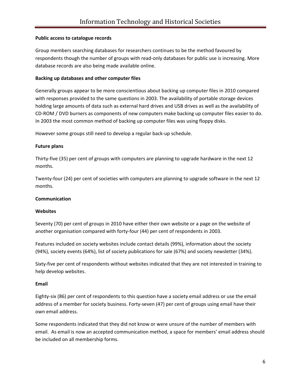#### **Public access to catalogue records**

Group members searching databases for researchers continues to be the method favoured by respondents though the number of groups with read‐only databases for public use is increasing. More database records are also being made available online.

#### **Backing up databases and other computer files**

Generally groups appear to be more conscientious about backing up computer files in 2010 compared with responses provided to the same questions in 2003. The availability of portable storage devices holding large amounts of data such as external hard drives and USB drives as well as the availability of CD‐ROM / DVD burners as components of new computers make backing up computer files easier to do. In 2003 the most common method of backing up computer files was using floppy disks.

However some groups still need to develop a regular back‐up schedule.

#### **Future plans**

Thirty‐five (35) per cent of groups with computers are planning to upgrade hardware in the next 12 months.

Twenty‐four (24) per cent of societies with computers are planning to upgrade software in the next 12 months.

#### **Communication**

#### **Websites**

Seventy (70) per cent of groups in 2010 have either their own website or a page on the website of another organisation compared with forty‐four (44) per cent of respondents in 2003.

Features included on society websites include contact details (99%), information about the society (94%), society events (64%), list of society publications for sale (67%) and society newsletter (34%).

Sixty-five per cent of respondents without websites indicated that they are not interested in training to help develop websites.

#### **Email**

Eighty‐six (86) per cent of respondents to this question have a society email address or use the email address of a member for society business. Forty-seven (47) per cent of groups using email have their own email address.

Some respondents indicated that they did not know or were unsure of the number of members with email. As email is now an accepted communication method, a space for members' email address should be included on all membership forms.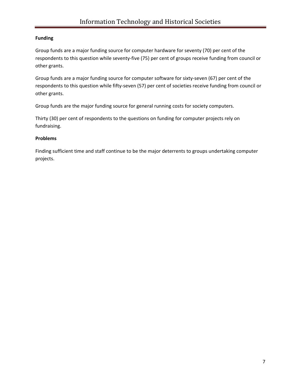#### **Funding**

Group funds are a major funding source for computer hardware for seventy (70) per cent of the respondents to this question while seventy‐five (75) per cent of groups receive funding from council or other grants.

Group funds are a major funding source for computer software for sixty‐seven (67) per cent of the respondents to this question while fifty-seven (57) per cent of societies receive funding from council or other grants.

Group funds are the major funding source for general running costs for society computers.

Thirty (30) per cent of respondents to the questions on funding for computer projects rely on fundraising.

#### **Problems**

Finding sufficient time and staff continue to be the major deterrents to groups undertaking computer projects.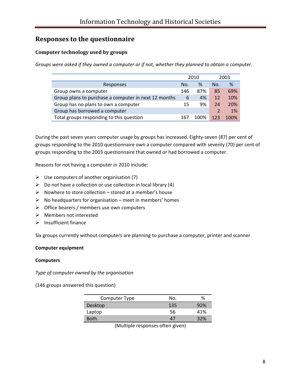# **Responses to the questionnaire**

# **Computer technology used by groups**

*Groups were asked if they owned a computer or if not, whether they planned to obtain a computer.*

|                                                      | 2010 |      |     | 2003 |
|------------------------------------------------------|------|------|-----|------|
| Responses                                            | No.  | ℅    | No. | %    |
| Group owns a computer                                | 146  | 87%  | 85  | 69%  |
| Group plans to purchase a computer in next 12 months | 6    | 4%   | 12  | 10%  |
| Group has no plans to own a computer                 | 15   | 9%   | 24  | 20%  |
| Group has borrowed a computer                        |      |      |     | 1%   |
| Total groups responding to this question             | 16   | 1በበ% |     | 100% |

During the past seven years computer usage by groups has increased. Eighty-seven (87) per cent of groups responding to the 2010 questionnaire own a computer compared with seventy (70) per cent of groups responding to the 2003 questionnaire that owned or had borrowed a computer.

Reasons for not having a computer in 2010 include:

- $\triangleright$  Use computers of another organisation (7)
- $\triangleright$  Do not have a collection or use collection in local library (4)
- $\triangleright$  Nowhere to store collection stored at a member's house
- $\triangleright$  No headquarters for organisation meet in members' homes
- $\triangleright$  Office bearers / members use own computers
- $\triangleright$  Members not interested
- $\blacktriangleright$  Insufficient finance

Six groups currently without computers are planning to purchase a computer, printer and scanner

#### **Computer equipment**

#### **Computers**

*Type of computer owned by the organisation*

(146 groups answered this question)

| Computer Type | No. | %   |
|---------------|-----|-----|
| Desktop       | 135 | 92% |
| Laptop        | 56  | 41% |
| <b>Both</b>   | Δ,  | 32% |

(Multiple responses often given)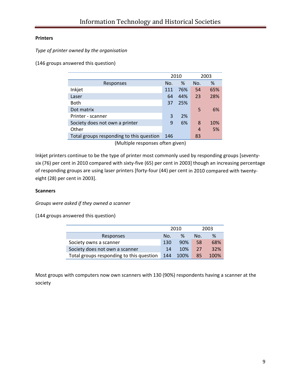#### **Printers**

*Type of printer owned by the organisation*

(146 groups answered this question)

|                                          | 2010 |     |     | 2003 |
|------------------------------------------|------|-----|-----|------|
| Responses                                | No.  | %   | No. | %    |
| Inkjet                                   | 111  | 76% | 54  | 65%  |
| Laser                                    | 64   | 44% | 23  | 28%  |
| Both                                     | 37   | 25% |     |      |
| Dot matrix                               |      |     | 5   | 6%   |
| Printer - scanner                        | 3    | 2%  |     |      |
| Society does not own a printer           | 9    | 6%  | 8   | 10%  |
| Other                                    |      |     | 4   | 5%   |
| Total groups responding to this question | 146  |     | 83  |      |

(Multiple responses often given)

Inkjet printers continue to be the type of printer most commonly used by responding groups [seventy‐ six (76) per cent in 2010 compared with sixty-five (65) per cent in 2003] though an increasing percentage of responding groups are using laser printers [forty-four (44) per cent in 2010 compared with twentyeight (28) per cent in 2003].

#### **Scanners**

*Groups were asked if they owned a scanner*

(144 groups answered this question)

|                                          | 2010 |      |     | 2003 |
|------------------------------------------|------|------|-----|------|
| Responses                                | No.  | ℅    | No. | ℅    |
| Society owns a scanner                   | 130  | 90%  | 58  | 68%  |
| Society does not own a scanner           | 14   | 10%  | 27  | 32%  |
| Total groups responding to this question | 144  | 100% | 85  | 100% |

Most groups with computers now own scanners with 130 (90%) respondents having a scanner at the society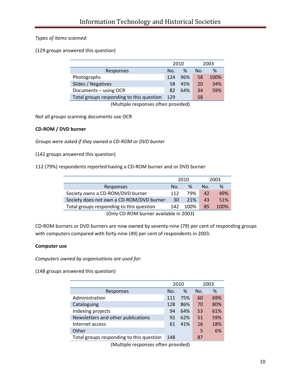#### *Types of items scanned:*

(129 groups answered this question)

|                                          | 2010 |      |     | 2003 |
|------------------------------------------|------|------|-----|------|
| Responses                                | No.  | $\%$ | No. | $\%$ |
| Photographs                              | 124  | 96%  | 58  | 100% |
| Slides / Negatives                       | 58   | 45%  | 20  | 34%  |
| Documents - using OCR                    | 82   | 64%  | 34  | 59%  |
| Total groups responding to this question | 129  |      | 58  |      |

(Multiple responses often provided)

Not all groups scanning documents use OCR

#### **CD‐ROM / DVD burner**

*Groups were asked if they owned a CD‐ROM or DVD burner*

(142 groups answered this question)

112 (79%) respondents reported having a CD‐ROM burner and or DVD burner

|                                          | 2010 |      |     | 2003 |
|------------------------------------------|------|------|-----|------|
| Responses                                | No.  | %    | No. | %    |
| Society owns a CD-ROM/DVD burner         | 112  | 79%  | 42  | 49%  |
| Society does not own a CD-ROM/DVD burner | 30   | 21%  | 43  | 51%  |
| Total groups responding to this question | 142  | 100% | 85  | 100% |
| (Only CD-ROM burner available in 2003)   |      |      |     |      |

CD‐ROM burners or DVD burners are now owned by seventy‐nine (79) per cent of responding groups with computers compared with forty-nine (49) per cent of respondents in 2003.

#### **Computer use**

*Computers owned by organisations are used for:*

(148 groups answered this question)

|                                          | 2010 |     |     | 2003 |
|------------------------------------------|------|-----|-----|------|
| Responses                                | No.  | %   | No. | %    |
| Administration                           | 111  | 75% | 60  | 69%  |
| Cataloguing                              | 128  | 86% | 70  | 80%  |
| Indexing projects                        | 94   | 64% | 53  | 61%  |
| Newsletters and other publications       | 92   | 62% | 51  | 59%  |
| Internet access                          | 61   | 41% | 16  | 18%  |
| Other                                    |      |     | 5   | 6%   |
| Total groups responding to this question | 148  |     | 87  |      |

(Multiple responses often provided)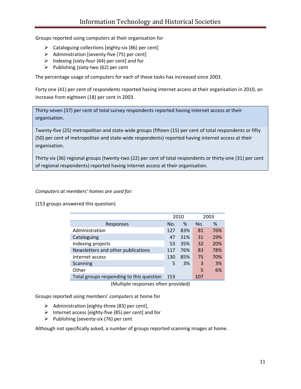Groups reported using computers at their organisation for

- $\triangleright$  Cataloguing collections [eighty-six (86) per cent]
- $\triangleright$  Administration [seventy-five (75) per cent]
- $\triangleright$  Indexing [sixty-four (64) per cent] and for
- ¾ Publishing [sixty‐two (62) per cent

The percentage usage of computers for each of these tasks has increased since 2003.

Forty one (41) per cent of respondents reported having internet access at their organisation in 2010, an increase from eighteen (18) per cent in 2003.

Thirty‐seven (37) per cent of total survey respondents reported having internet access at their organisation.

Twenty‐five (25) metropolitan and state‐wide groups (fifteen (15) per cent of total respondents or fifty (50) per cent of metropolitan and state‐wide respondents) reported having internet access at their organisation.

Thirty‐six (36) regional groups (twenty‐two (22) per cent of total respondents or thirty‐one (31) per cent of regional respondents) reported having internet access at their organisation.

*Computers at members' homes are used for:*

(153 groups answered this question)

|                                          | 2010 |     |     | 2003 |
|------------------------------------------|------|-----|-----|------|
| Responses                                | No.  | %   | No. | $\%$ |
| Administration                           | 127  | 83% | 81  | 76%  |
| Cataloguing                              | 47   | 31% | 31  | 29%  |
| Indexing projects                        | 53   | 35% | 32  | 20%  |
| Newsletters and other publications       | 117  | 76% | 83  | 78%  |
| Internet access                          | 130  | 85% | 75  | 70%  |
| Scanning                                 | 5    | 3%  | 3   | 3%   |
| Other                                    |      |     | 5   | 6%   |
| Total groups responding to this question | 153  |     | 107 |      |

(Multiple responses often provided)

Groups reported using members' computers at home for

- $\triangleright$  Administration [eighty-three (83) per cent],
- ¾ Internet access [eighty‐five (85) per cent] and for
- ¾ Publishing [seventy‐six (76) per cent

Although not specifically asked, a number of groups reported scanning images at home.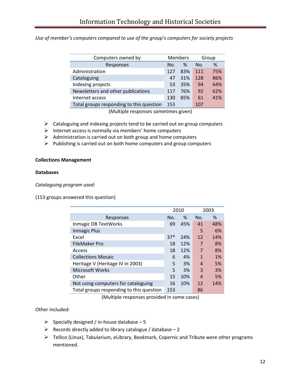*Use of member's computers compared to use of the group's computers for society projects*

| Computers owned by                       | <b>Members</b> |     |     | Group |
|------------------------------------------|----------------|-----|-----|-------|
| Responses                                | Nο.            | ℅   | No. | $\%$  |
| Administration                           | 127            | 83% | 111 | 75%   |
| Cataloguing                              | 47             | 31% | 128 | 86%   |
| Indexing projects                        | -53            | 35% | 94  | 64%   |
| Newsletters and other publications       | 117            | 76% | 92  | 62%   |
| Internet access                          | 130            | 85% | 61  | 41%   |
| Total groups responding to this question | 153            |     | 107 |       |

(Multiple responses sometimes given)

- $\triangleright$  Cataloguing and indexing projects tend to be carried out on group computers
- $\triangleright$  Internet access is normally via members' home computers
- $\triangleright$  Administration is carried out on both group and home computers
- ¾ Publishing is carried out on both home computers and group computers

#### **Collections Management**

#### **Databases**

*Cataloguing program used:*

(153 groups answered this question)

|                                          | 2010  |     |                  | 2003 |
|------------------------------------------|-------|-----|------------------|------|
| Responses                                | No.   | %   | No.              | $\%$ |
| Inmagic DB TextWorks                     | 69    | 45% | 41               | 48%  |
| <b>Inmagic Plus</b>                      |       |     | 5                | 6%   |
| Excel                                    | $37*$ | 24% | 12               | 14%  |
| <b>FileMaker Pro</b>                     | 18    | 12% | 7                | 8%   |
| Access                                   | 18    | 12% | $\overline{7}$   | 8%   |
| <b>Collections Mosaic</b>                | 6     | 4%  | $\mathbf{1}$     | 1%   |
| Heritage V (Heritage IV in 2003)         | 5     | 3%  | $\boldsymbol{A}$ | 5%   |
| <b>Microsoft Works</b>                   | 5     | 3%  | 3                | 3%   |
| Other                                    | 15    | 10% | $\overline{A}$   | 5%   |
| Not using computers for cataloguing      | 16    | 10% | 12               | 14%  |
| Total groups responding to this question | 153   |     | 86               |      |

(Multiple responses provided in some cases)

Other included:

- ¾ Specially designed / in‐house database 5
- $\triangleright$  Records directly added to library catalogue / database 2
- ¾ Tellico (Linux), Tabularium, eLibrary, Bookmark, Copernic and Tribute were other programs mentioned.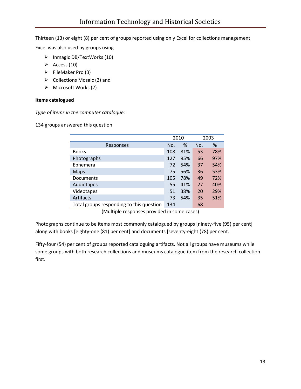Thirteen (13) or eight (8) per cent of groups reported using only Excel for collections management

Excel was also used by groups using

- ¾ Inmagic DB/TextWorks (10)
- $\triangleright$  Access (10)
- $\triangleright$  FileMaker Pro (3)
- $\triangleright$  Collections Mosaic (2) and
- $\triangleright$  Microsoft Works (2)

#### **Items catalogued**

*Type of items in the computer catalogue:*

134 groups answered this question

|                                          | 2010 |     |     | 2003 |
|------------------------------------------|------|-----|-----|------|
| Responses                                | No.  | %   | No. | %    |
| <b>Books</b>                             | 108  | 81% | 53  | 78%  |
| Photographs                              | 127  | 95% | 66  | 97%  |
| Ephemera                                 | 72   | 54% | 37  | 54%  |
| Maps                                     | 75   | 56% | 36  | 53%  |
| Documents                                | 105  | 78% | 49  | 72%  |
| Audiotapes                               | 55   | 41% | 27  | 40%  |
| Videotapes                               | 51   | 38% | 20  | 29%  |
| Artifacts                                | 73   | 54% | 35  | 51%  |
| Total groups responding to this question | 134  |     | 68  |      |

(Multiple responses provided in some cases)

Photographs continue to be items most commonly catalogued by groups [ninety‐five (95) per cent] along with books [eighty‐one (81) per cent] and documents [seventy‐eight (78) per cent.

Fifty-four (54) per cent of groups reported cataloguing artifacts. Not all groups have museums while some groups with both research collections and museums catalogue item from the research collection first.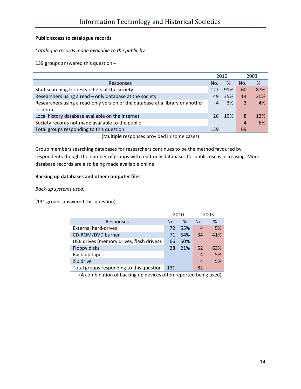#### **Public access to catalogue records**

*Catalogue records made available to the public by:*

139 groups answered this question –

|                                                                               |     | 2010 |     | 2003 |
|-------------------------------------------------------------------------------|-----|------|-----|------|
| Responses                                                                     | No. | %    | No. | %    |
| Staff searching for researchers at the society                                | 127 | 91%  | 60  | 87%  |
| Researchers using a read - only database at the society                       | 49  | 35%  | 14  | 20%  |
| Researchers using a read-only version of the database at a library or another | 4   | 3%   | 3   | 4%   |
| <i>location</i>                                                               |     |      |     |      |
| Local history database available on the internet                              | 26  | 19%  | 8   | 12%  |
| Society records not made available to the public                              |     |      | 4   | 6%   |
| Total groups responding to this question                                      | 139 |      | 69  |      |
| (Multiple responses provided in some cases)                                   |     |      |     |      |

Group members searching databases for researchers continues to be the method favoured by respondents though the number of groups with read‐only databases for public use is increasing. More database records are also being made available online.

#### **Backing up databases and other computer files**

*Back‐up systems used:*

(131 groups answered this question)

|                                          | 2010 |      |     | 2003 |
|------------------------------------------|------|------|-----|------|
| Responses                                | No.  | $\%$ | No. | %    |
| <b>External hard-drives</b>              | 72   | 55%  | 4   | 5%   |
| CD-ROM/DVD burner                        | 71   | 54%  | 34  | 41%  |
| USB drives (memory drives, flash drives) | 66   | 50%  |     |      |
| Floppy disks                             | 28   | 21%  | 52  | 63%  |
| Back-up tapes                            |      |      | 4   | 5%   |
| Zip drive                                |      |      | 4   | 5%   |
| Total groups responding to this question | 131  |      | 82  |      |

(A combination of backing up devices often reported being used)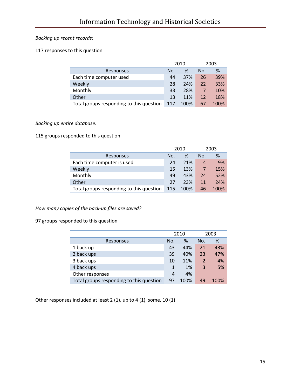#### *Backing up recent records:*

#### 117 responses to this question

|                                          | 2010 |      |     | 2003 |
|------------------------------------------|------|------|-----|------|
| Responses                                | No.  | $\%$ | No. | %    |
| Each time computer used                  | 44   | 37%  | 26  | 39%  |
| Weekly                                   | 28   | 24%  | 22  | 33%  |
| Monthly                                  | 33   | 28%  | 7   | 10%  |
| Other                                    | 13   | 11%  | 12  | 18%  |
| Total groups responding to this question | 117  | 100% | 67  | 100% |

#### *Backing up entire database:*

115 groups responded to this question

|                                          | 2010 |      |     | 2003 |
|------------------------------------------|------|------|-----|------|
| Responses                                | No.  | %    | No. | %    |
| Each time computer is used               | 24   | 21%  | 4   | 9%   |
| Weekly                                   | 15   | 13%  | 7   | 15%  |
| Monthly                                  | 49   | 43%  | 24  | 52%  |
| Other                                    | 27   | 23%  | 11  | 24%  |
| Total groups responding to this question | 115  | 100% | 46  | 100% |

#### *How many copies of the back‐up files are saved?*

97 groups responded to this question

|                                          | 2010 |      |                | 2003 |
|------------------------------------------|------|------|----------------|------|
| Responses                                | No.  | %    | No.            | %    |
| 1 back up                                | 43   | 44%  | 21             | 43%  |
| 2 back ups                               | 39   | 40%  | 23             | 47%  |
| 3 back ups                               | 10   | 11%  | $\overline{2}$ | 4%   |
| 4 back ups                               | 1    | 1%   | 3              | 5%   |
| Other responses                          | 4    | 4%   |                |      |
| Total groups responding to this question | 97   | 100% | 49             | 100% |

Other responses included at least 2 (1), up to 4 (1), some, 10 (1)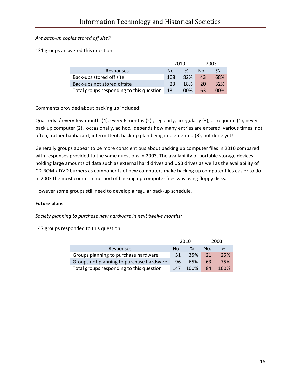#### *Are back‐up copies stored off site?*

131 groups answered this question

|                                          | 2010  |      |     | 2003 |
|------------------------------------------|-------|------|-----|------|
| Responses                                | No.   | %    | No. | %    |
| Back-ups stored off site                 | 108   | 82%  | 43  | 68%  |
| Back-ups not stored offsite              | 23    | 18%  | 20  | 32%  |
| Total groups responding to this question | - 131 | 100% | 63  | 100% |

Comments provided about backing up included:

Quarterly / every few months(4), every 6 months (2) , regularly, irregularly (3), as required (1), never back up computer (2), occasionally, ad hoc, depends how many entries are entered, various times, not often, rather haphazard, intermittent, back‐up plan being implemented (3), not done yet!

Generally groups appear to be more conscientious about backing up computer files in 2010 compared with responses provided to the same questions in 2003. The availability of portable storage devices holding large amounts of data such as external hard drives and USB drives as well as the availability of CD‐ROM / DVD burners as components of new computers make backing up computer files easier to do. In 2003 the most common method of backing up computer files was using floppy disks.

However some groups still need to develop a regular back‐up schedule.

#### **Future plans**

*Society planning to purchase new hardware in next twelve months:*

147 groups responded to this question

|                                          | 2010 |      |     | 2003 |
|------------------------------------------|------|------|-----|------|
| Responses                                | Nο.  | %    | No. | %    |
| Groups planning to purchase hardware     | 51   | 35%  | 21  | 25%  |
| Groups not planning to purchase hardware | 96   | 65%  | 63  | 75%  |
| Total groups responding to this question | 147  | 100% | 84  | 100% |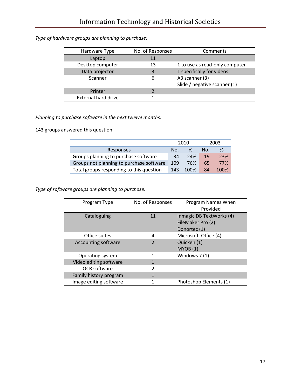# *Type of hardware groups are planning to purchase:*

| Hardware Type       | No. of Responses | Comments                       |
|---------------------|------------------|--------------------------------|
| Laptop              | 11               |                                |
| Desktop computer    | 13               | 1 to use as read-only computer |
| Data projector      | 3                | 1 specifically for videos      |
| Scanner             | 6                | A3 scanner (3)                 |
|                     |                  | Slide / negative scanner (1)   |
| Printer             |                  |                                |
| External hard drive |                  |                                |

# *Planning to purchase software in the next twelve months:*

143 groups answered this question

|                                          | 2010 |      | 2003 |      |
|------------------------------------------|------|------|------|------|
| Responses                                | No.  | ℅    | No.  | $\%$ |
| Groups planning to purchase software     | 34   | 24%  | 19   | 23%  |
| Groups not planning to purchase software | 109  | 76%  | 65   | 77%  |
| Total groups responding to this question | 143  | 100% | 84   | 100% |

*Type of software groups are planning to purchase:*

| Program Type           | No. of Responses | Program Names When<br>Provided                                |
|------------------------|------------------|---------------------------------------------------------------|
| Cataloguing            | 11               | Inmagic DB TextWorks (4)<br>FileMaker Pro (2)<br>Donortec (1) |
| Office suites          | 4                | Microsoft Office (4)                                          |
| Accounting software    | $\overline{2}$   | Quicken (1)<br>MYOB(1)                                        |
| Operating system       | 1                | Windows 7(1)                                                  |
| Video editing software | 1                |                                                               |
| OCR software           | $\overline{2}$   |                                                               |
| Family history program | 1                |                                                               |
| Image editing software | 1                | Photoshop Elements (1)                                        |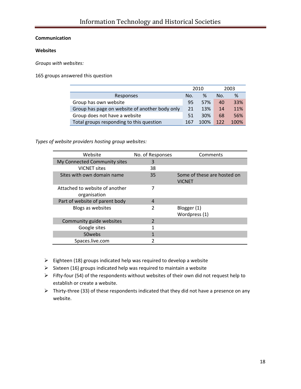#### **Communication**

#### **Websites**

*Groups with websites:*

165 groups answered this question

|                                                | 2010 |      |     | 2003 |
|------------------------------------------------|------|------|-----|------|
| Responses                                      | No.  | ℅    | No. | %    |
| Group has own website                          | 95   | 57%  | 40  | 33%  |
| Group has page on website of another body only | 21   | 13%  | 14  | 11%  |
| Group does not have a website                  | 51   | 30%  | 68  | 56%  |
| Total groups responding to this question       | 167  | 100% | 122 | 100% |

*Types of website providers hosting group websites:*

| Website                                        | No. of Responses | Comments                                     |
|------------------------------------------------|------------------|----------------------------------------------|
| My Connected Community sites                   | 3                |                                              |
| <b>VICNET sites</b>                            | 38               |                                              |
| Sites with own domain name                     | 35               | Some of these are hosted on<br><b>VICNET</b> |
| Attached to website of another<br>organisation | 7                |                                              |
| Part of website of parent body                 | 4                |                                              |
| Blogs as websites                              | 2                | Blogger (1)<br>Wordpress (1)                 |
| Community guide websites                       | 2                |                                              |
| Google sites                                   | 1                |                                              |
| 50webs                                         | 1                |                                              |
| Spaces.live.com                                |                  |                                              |

- $\triangleright$  Eighteen (18) groups indicated help was required to develop a website
- $\triangleright$  Sixteen (16) groups indicated help was required to maintain a website
- ¾ Fifty‐four (54) of the respondents without websites of their own did not request help to establish or create a website.
- ¾ Thirty‐three (33) of these respondents indicated that they did not have a presence on any website.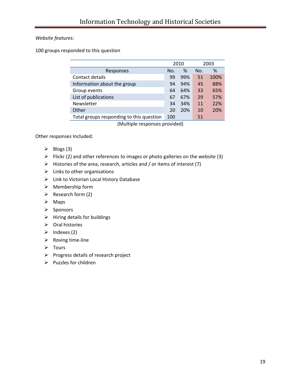#### *Website features:*

100 groups responded to this question

|                                          |     | 2010     |     | 2003 |
|------------------------------------------|-----|----------|-----|------|
| Responses                                | No. | %        | No. | %    |
| Contact details                          | 99  | 99%      | 51  | 100% |
| Information about the group              | 94  | 94%      | 45  | 88%  |
| Group events                             | 64  | 64%      | 33  | 65%  |
| List of publications                     | 67  | 67%      | 29  | 57%  |
| Newsletter                               | 34  | 34%      | 11  | 22%  |
| Other                                    | 20  | 20%      | 10  | 20%  |
| Total groups responding to this question | 100 |          | 51  |      |
| .                                        |     | $\cdots$ |     |      |

(Multiple responses provided)

Other responses Included:

- $\triangleright$  Blogs (3)
- $\triangleright$  Flickr (2) and other references to images or photo galleries on the website (3)
- $\triangleright$  Histories of the area, research, articles and / or items of interest (7)
- $\triangleright$  Links to other organisations
- $\triangleright$  Link to Victorian Local History Database
- $\triangleright$  Membership form
- $\triangleright$  Research form (2)
- $\triangleright$  Maps
- ¾ Sponsors
- $\triangleright$  Hiring details for buildings
- $\triangleright$  Oral histories
- $\triangleright$  Indexes (2)
- ¾ Roving time‐line
- ¾ Tours
- $\triangleright$  Progress details of research project
- $\triangleright$  Puzzles for children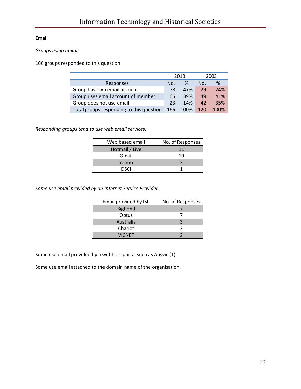#### **Email**

*Groups using email:*

166 groups responded to this question

|                                          |     | 2010 |     | 2003 |
|------------------------------------------|-----|------|-----|------|
| Responses                                | No. | ℅    | No. | %    |
| Group has own email account              | 78  | 47%  | 29  | 24%  |
| Group uses email account of member       | 65  | 39%  | 49  | 41%  |
| Group does not use email                 | 23  | 14%  | 42  | 35%  |
| Total groups responding to this question | 166 | 100% | 120 | 100% |

*Responding groups tend to use web email services:* 

| Web based email | No. of Responses |
|-----------------|------------------|
| Hotmail / Live  | 11               |
| Gmail           | 10               |
| Yahoo           |                  |
| DSCI            |                  |

*Some use email provided by an Internet Service Provider:*

| Email provided by ISP | No. of Responses |
|-----------------------|------------------|
| <b>BigPond</b>        |                  |
| Optus                 |                  |
| Australia             |                  |
| Chariot               | 7                |
| <b>VICNET</b>         |                  |

Some use email provided by a webhost portal such as Ausvic (1).

Some use email attached to the domain name of the organisation.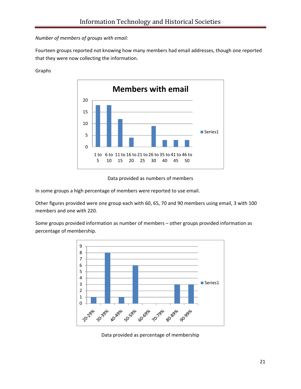#### *Number of members of groups with email:*

Fourteen groups reported not knowing how many members had email addresses, though one reported that they were now collecting the information.



#### Graphs



In some groups a high percentage of members were reported to use email.

Other figures provided were one group each with 60, 65, 70 and 90 members using email, 3 with 100 members and one with 220.

Some groups provided information as number of members – other groups provided information as percentage of membership.



Data provided as percentage of membership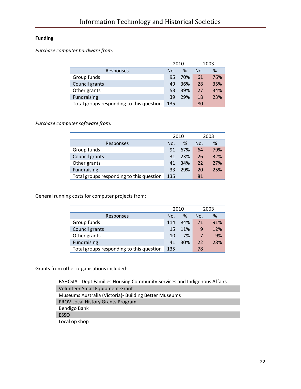# **Funding**

*Purchase computer hardware from:*

|                                          |     | 2010 |     | 2003 |
|------------------------------------------|-----|------|-----|------|
| Responses                                | No. | ℅    | No. | %    |
| Group funds                              | 95  | 70%  | 61  | 76%  |
| Council grants                           | 49  | 36%  | 28  | 35%  |
| Other grants                             | 53  | 39%  | 27  | 34%  |
| Fundraising                              | 39  | 29%  | 18  | 23%  |
| Total groups responding to this question | 135 |      | 80  |      |

# *Purchase computer software from:*

|                                          |     | 2010 |     | 2003 |
|------------------------------------------|-----|------|-----|------|
| Responses                                | No. | %    | No. | %    |
| Group funds                              | 91  | 67%  | 64  | 79%  |
| Council grants                           | 31  | 23%  | 26  | 32%  |
| Other grants                             | 41  | 34%  | 22  | 27%  |
| Fundraising                              | 33  | 29%  | 20  | 25%  |
| Total groups responding to this question | 135 |      | 81  |      |

General running costs for computer projects from:

|                                          |     | 2010 |     | 2003 |
|------------------------------------------|-----|------|-----|------|
| Responses                                | No. | %    | No. | %    |
| Group funds                              | 114 | 84%  | 71  | 91%  |
| Council grants                           | 15  | 11%  | 9   | 12%  |
| Other grants                             | 10  | 7%   | 7   | 9%   |
| Fundraising                              | 41  | 30%  | 22  | 28%  |
| Total groups responding to this question | 135 |      | 78  |      |

Grants from other organisations included:

| FAHCSIA - Dept Families Housing Community Services and Indigenous Affairs |
|---------------------------------------------------------------------------|
| Volunteer Small Equipment Grant                                           |
| Museums Australia (Victoria) - Building Better Museums                    |
| PROV Local History Grants Program                                         |
| Bendigo Bank                                                              |
| <b>ESSO</b>                                                               |
| Local op shop                                                             |
|                                                                           |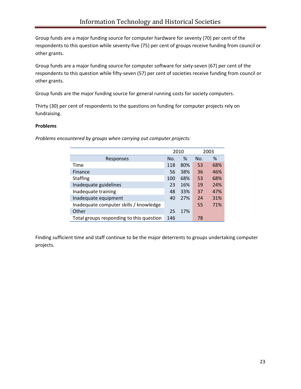Group funds are a major funding source for computer hardware for seventy (70) per cent of the respondents to this question while seventy‐five (75) per cent of groups receive funding from council or other grants.

Group funds are a major funding source for computer software for sixty‐seven (67) per cent of the respondents to this question while fifty-seven (57) per cent of societies receive funding from council or other grants.

Group funds are the major funding source for general running costs for society computers.

Thirty (30) per cent of respondents to the questions on funding for computer projects rely on fundraising.

#### **Problems**

*Problems encountered by groups when carrying out computer projects:*

|                                          |     | 2010 |     | 2003 |
|------------------------------------------|-----|------|-----|------|
| Responses                                | No. | %    | No. | %    |
| Time                                     | 118 | 80%  | 53  | 68%  |
| Finance                                  | 56  | 38%  | 36  | 46%  |
| <b>Staffing</b>                          | 100 | 68%  | 53  | 68%  |
| Inadequate guidelines                    | 23  | 16%  | 19  | 24%  |
| Inadequate training                      | 48  | 33%  | 37  | 47%  |
| Inadequate equipment                     | 40  | 27%  | 24  | 31%  |
| Inadequate computer skills / knowledge   |     |      | 55  | 71%  |
| Other                                    | 25  | 17%  |     |      |
| Total groups responding to this question | 146 |      | 78  |      |

Finding sufficient time and staff continue to be the major deterrents to groups undertaking computer projects.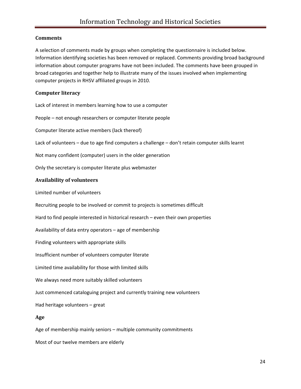#### **Comments**

A selection of comments made by groups when completing the questionnaire is included below. Information identifying societies has been removed or replaced. Comments providing broad background information about computer programs have not been included. The comments have been grouped in broad categories and together help to illustrate many of the issues involved when implementing computer projects in RHSV affiliated groups in 2010.

#### **Computer literacy**

Lack of interest in members learning how to use a computer

People – not enough researchers or computer literate people

Computer literate active members (lack thereof)

Lack of volunteers – due to age find computers a challenge – don't retain computer skills learnt

Not many confident (computer) users in the older generation

Only the secretary is computer literate plus webmaster

#### **Availability of volunteers**

Limited number of volunteers

Recruiting people to be involved or commit to projects is sometimes difficult

Hard to find people interested in historical research – even their own properties

Availability of data entry operators – age of membership

Finding volunteers with appropriate skills

Insufficient number of volunteers computer literate

Limited time availability for those with limited skills

We always need more suitably skilled volunteers

Just commenced cataloguing project and currently training new volunteers

Had heritage volunteers – great

#### **Age**

Age of membership mainly seniors – multiple community commitments

Most of our twelve members are elderly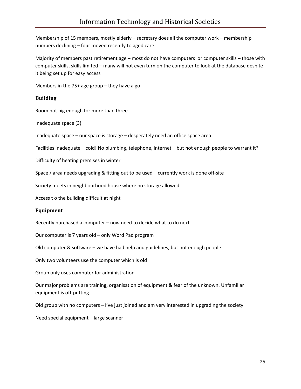Membership of 15 members, mostly elderly – secretary does all the computer work – membership numbers declining – four moved recently to aged care

Majority of members past retirement age – most do not have computers or computer skills – those with computer skills, skills limited – many will not even turn on the computer to look at the database despite it being set up for easy access

Members in the 75+ age group – they have a go

#### **Building**

Room not big enough for more than three

Inadequate space (3)

Inadequate space – our space is storage – desperately need an office space area

Facilities inadequate – cold! No plumbing, telephone, internet – but not enough people to warrant it?

Difficulty of heating premises in winter

Space / area needs upgrading & fitting out to be used – currently work is done off-site

Society meets in neighbourhood house where no storage allowed

Access t o the building difficult at night

#### **Equipment**

Recently purchased a computer – now need to decide what to do next

Our computer is 7 years old – only Word Pad program

Old computer & software – we have had help and guidelines, but not enough people

Only two volunteers use the computer which is old

Group only uses computer for administration

Our major problems are training, organisation of equipment & fear of the unknown. Unfamiliar equipment is off‐putting

Old group with no computers  $-1$ 've just joined and am very interested in upgrading the society

Need special equipment – large scanner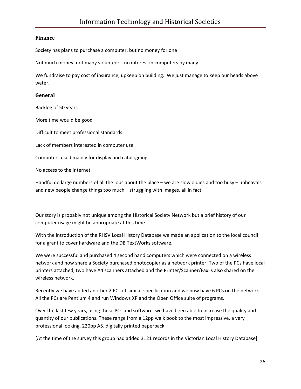#### **Finance**

Society has plans to purchase a computer, but no money for one

Not much money, not many volunteers, no interest in computers by many

We fundraise to pay cost of insurance, upkeep on building. We just manage to keep our heads above water.

#### **General**

Backlog of 50 years

More time would be good

Difficult to meet professional standards

Lack of members interested in computer use

Computers used mainly for display and cataloguing

No access to the internet

Handful do large numbers of all the jobs about the place – we are slow oldies and too busy – upheavals and new people change things too much – struggling with images, all in fact

Our story is probably not unique among the Historical Society Network but a brief history of our computer usage might be appropriate at this time.

With the introduction of the RHSV Local History Database we made an application to the local council for a grant to cover hardware and the DB TextWorks software.

We were successful and purchased 4 second hand computers which were connected on a wireless network and now share a Society purchased photocopier as a network printer. Two of the PCs have local printers attached, two have A4 scanners attached and the Printer/Scanner/Fax is also shared on the wireless network.

Recently we have added another 2 PCs of similar specification and we now have 6 PCs on the network. All the PCs are Pentium 4 and run Windows XP and the Open Office suite of programs.

Over the last few years, using these PCs and software, we have been able to increase the quality and quantity of our publications. These range from a 12pp walk book to the most impressive, a very professional looking, 220pp A5, digitally printed paperback.

[At the time of the survey this group had added 3121 records in the Victorian Local History Database]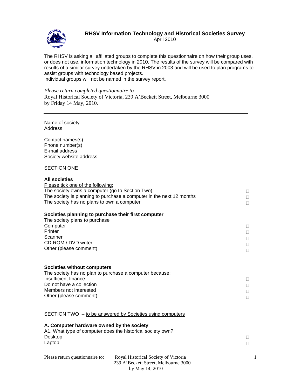

# **RHSV Information Technology and Historical Societies Survey**

April 2010

The RHSV is asking all affiliated groups to complete this questionnaire on how their group uses, or does not use, information technology in 2010. The results of the survey will be compared with results of a similar survey undertaken by the RHSV in 2003 and will be used to plan programs to assist groups with technology based projects.

Individual groups will not be named in the survey report.

*Please return completed questionnaire to* 

Royal Historical Society of Victoria, 239 A'Beckett Street, Melbourne 3000 by Friday 14 May, 2010*.*

Name of society **Address** 

Contact names(s) Phone number(s) E-mail address Society website address

#### SECTION ONE

#### **All societies**

| Please tick one of the following:<br>The society owns a computer (go to Section Two)<br>The society has no plans to own a computer                                                                    | The society is planning to purchase a computer in the next 12 months                            | П<br>П       |
|-------------------------------------------------------------------------------------------------------------------------------------------------------------------------------------------------------|-------------------------------------------------------------------------------------------------|--------------|
| Societies planning to purchase their first computer<br>The society plans to purchase<br>Computer<br>Printer<br>Scanner<br>CD-ROM / DVD writer<br>Other (please comment)                               |                                                                                                 | п<br>П<br>П  |
| <b>Societies without computers</b><br>The society has no plan to purchase a computer because:<br>Insufficient finance<br>Do not have a collection<br>Members not interested<br>Other (please comment) |                                                                                                 | п<br>Н<br>П  |
|                                                                                                                                                                                                       | SECTION TWO – to be answered by Societies using computers                                       |              |
| A. Computer hardware owned by the society<br>A1. What type of computer does the historical society own?<br>Desktop<br>Laptop                                                                          |                                                                                                 | $\mathbf{L}$ |
| Please return questionnaire to:                                                                                                                                                                       | Royal Historical Society of Victoria<br>239 A'Beckett Street, Melbourne 3000<br>by May 14, 2010 |              |

1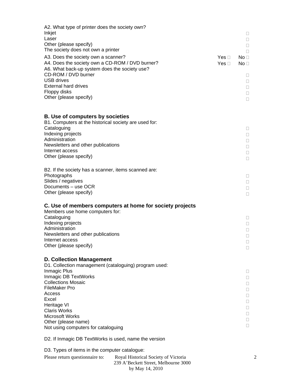| A2. What type of printer does the society own?<br>Inkjet                                                                                                       |                                      |                                      |                        | Ц                                  |
|----------------------------------------------------------------------------------------------------------------------------------------------------------------|--------------------------------------|--------------------------------------|------------------------|------------------------------------|
| Laser<br>Other (please specify)                                                                                                                                |                                      |                                      |                        | $\Box$                             |
| The society does not own a printer                                                                                                                             |                                      |                                      |                        | $\Box$<br>$\Box$                   |
| A3. Does the society own a scanner?<br>A4. Does the society own a CD-ROM / DVD burner?<br>A6. What back-up system does the society use?<br>CD-ROM / DVD burner |                                      |                                      | Yes ⊓<br>Yes $\square$ | No <sub>1</sub><br>No <sub>1</sub> |
| <b>USB drives</b><br><b>External hard drives</b><br>Floppy disks                                                                                               |                                      |                                      |                        | Ω.<br>$\Box$<br>$\Box$<br>$\Box$   |
| Other (please specify)                                                                                                                                         |                                      |                                      |                        | $\Box$                             |
| <b>B. Use of computers by societies</b><br>B1. Computers at the historical society are used for:                                                               |                                      |                                      |                        |                                    |
| Cataloguing<br>Indexing projects                                                                                                                               |                                      |                                      |                        | $\Box$<br>$\Box$                   |
| Administration<br>Newsletters and other publications<br>Internet access                                                                                        |                                      |                                      |                        | $\Box$<br>$\Box$<br>$\Box$         |
| Other (please specify)                                                                                                                                         |                                      |                                      |                        | $\Box$                             |
| B2. If the society has a scanner, items scanned are:<br>Photographs                                                                                            |                                      |                                      |                        | Ω.                                 |
| Slides / negatives<br>Documents - use OCR<br>Other (please specify)                                                                                            |                                      |                                      |                        | $\Box$<br>$\Box$<br>$\Box$         |
| C. Use of members computers at home for society projects<br>Members use home computers for:                                                                    |                                      |                                      |                        |                                    |
| Cataloguing<br>Indexing projects<br>Administration                                                                                                             |                                      |                                      |                        | Ω.<br>$\Box$<br>$\Box$             |
| Newsletters and other publications<br>Internet access                                                                                                          |                                      |                                      |                        | $\Box$<br>$\Box$                   |
| Other (please specify)                                                                                                                                         |                                      |                                      |                        | $\Box$                             |
| <b>D. Collection Management</b><br>D1. Collection management (cataloguing) program used:<br>Inmagic Plus                                                       |                                      |                                      |                        | Ц                                  |
| Inmagic DB TextWorks<br><b>Collections Mosaic</b><br><b>FileMaker Pro</b>                                                                                      |                                      |                                      |                        | $\Box$<br>L.<br>$\Box$             |
| Access<br>Excel<br>Heritage VI                                                                                                                                 |                                      |                                      |                        | u<br>u                             |
| <b>Claris Works</b><br><b>Microsoft Works</b>                                                                                                                  |                                      |                                      |                        | u<br>0<br>0                        |
| Other (please name)<br>Not using computers for cataloguing                                                                                                     |                                      |                                      |                        | 0                                  |
| D2. If Inmagic DB TextWorks is used, name the version                                                                                                          |                                      |                                      |                        |                                    |
| D3. Types of items in the computer catalogue:                                                                                                                  |                                      |                                      |                        |                                    |
| Please return questionnaire to:                                                                                                                                | Royal Historical Society of Victoria | 239 A'Beckett Street, Melbourne 3000 |                        |                                    |

by May 14, 2010

2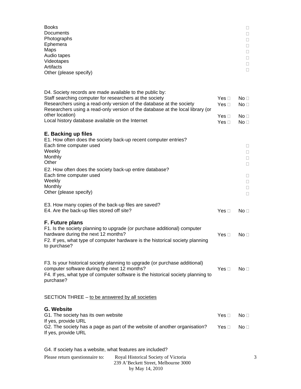| <b>Books</b><br>Documents<br>Photographs<br>Ephemera<br>Maps<br>Audio tapes<br>Videotapes<br>Artifacts<br>Other (please specify)                                                                                                                                                                 |                                        | $\Box$<br>□<br>□<br>□<br>□<br>□<br>□<br>П |
|--------------------------------------------------------------------------------------------------------------------------------------------------------------------------------------------------------------------------------------------------------------------------------------------------|----------------------------------------|-------------------------------------------|
| D4. Society records are made available to the public by:<br>Staff searching computer for researchers at the society<br>Researchers using a read-only version of the database at the society<br>Researchers using a read-only version of the database at the local library (or<br>other location) | Yes $\Box$<br>Yes $\Box$<br>Yes $\Box$ | No <sub>1</sub><br>No <sub>1</sub>        |
| Local history database available on the Internet                                                                                                                                                                                                                                                 | Yes $\Box$                             | No <sub>1</sub><br>No ⊟                   |
| E. Backing up files<br>E1. How often does the society back-up recent computer entries?<br>Each time computer used<br>Weekly<br>Monthly<br>Other<br>E2. How often does the society back-up entire database?<br>Each time computer used<br>Weekly<br>Monthly<br>Other (please specify)             |                                        | □<br>□<br>□<br>П<br>$\Box$<br>□<br>□<br>П |
| E3. How many copies of the back-up files are saved?<br>E4. Are the back-up files stored off site?                                                                                                                                                                                                | Yes $\square$                          | No <sub>1</sub>                           |
| <b>F. Future plans</b><br>F1. Is the society planning to upgrade (or purchase additional) computer<br>hardware during the next 12 months?<br>F2. If yes, what type of computer hardware is the historical society planning<br>to purchase?                                                       | Yes $\square$                          | No <sub>1</sub>                           |
| F3. Is your historical society planning to upgrade (or purchase additional)<br>computer software during the next 12 months?<br>F4. If yes, what type of computer software is the historical society planning to<br>purchase?                                                                     | Yes $\square$                          | No <sub>1</sub>                           |
| SECTION THREE - to be answered by all societies                                                                                                                                                                                                                                                  |                                        |                                           |
| <b>G. Website</b><br>G1. The society has its own website<br>If yes, provide URL                                                                                                                                                                                                                  | Yes $\square$                          | $No \square$                              |
| G2. The society has a page as part of the website of another organisation?<br>If yes, provide URL                                                                                                                                                                                                | Yes $\square$                          | No <sub>1</sub>                           |
| G4. If society has a website, what features are included?<br>Please return questionnaire to: Royal Historical Society of Victoria                                                                                                                                                                |                                        |                                           |

| Please return question aire to: | Royal Historical Society of Victoria |
|---------------------------------|--------------------------------------|
|                                 | 239 A'Beckett Street, Melbourne 3000 |
|                                 | by May 14, 2010                      |